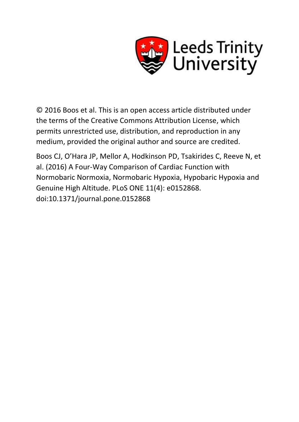

© 2016 Boos et al. This is an open access article distributed under the terms of the Creative Commons Attribution License, which permits unrestricted use, distribution, and reproduction in any medium, provided the original author and source are credited.

Boos CJ, O'Hara JP, Mellor A, Hodkinson PD, Tsakirides C, Reeve N, et al. (2016) A Four-Way Comparison of Cardiac Function with Normobaric Normoxia, Normobaric Hypoxia, Hypobaric Hypoxia and Genuine High Altitude. PLoS ONE 11(4): e0152868. doi:10.1371/journal.pone.0152868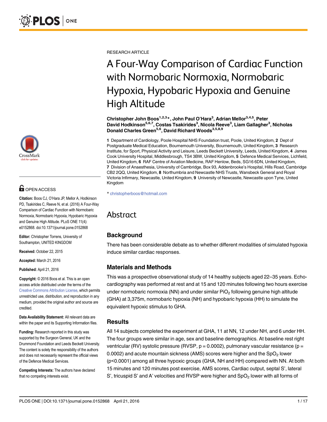

# **OPEN ACCESS**

Citation: Boos CJ, O'Hara JP, Mellor A, Hodkinson PD, Tsakirides C, Reeve N, et al. (2016) A Four-Way Comparison of Cardiac Function with Normobaric Normoxia, Normobaric Hypoxia, Hypobaric Hypoxia and Genuine High Altitude. PLoS ONE 11(4): e0152868. doi:10.1371/journal.pone.0152868

Editor: Christopher Torrens, University of Southampton, UNITED KINGDOM

Received: October 22, 2015

Accepted: March 21, 2016

Published: April 21, 2016

Copyright: © 2016 Boos et al. This is an open access article distributed under the terms of the [Creative Commons Attribution License,](http://creativecommons.org/licenses/by/4.0/) which permits unrestricted use, distribution, and reproduction in any medium, provided the original author and source are credited.

Data Availability Statement: All relevant data are within the paper and its Supporting Information files.

Funding: Research reported in this study was supported by the Surgeon General, UK and the Drummond Foundation and Leeds Beckett University. The content is solely the responsibility of the authors and does not necessarily represent the official views of the Defence Medical Services.

Competing Interests: The authors have declared that no competing interests exist.

RESEARCH ARTICLE

# A Four-Way Comparison of Cardiac Function with Normobaric Normoxia, Normobaric Hypoxia, Hypobaric Hypoxia and Genuine High Altitude

Christopher John Boos<sup>1,2,3</sup>\*, John Paul O'Hara<sup>3</sup>, Adrian Mellor<sup>3,4,5</sup>, Peter David Hodkinson<sup>5,6,7</sup>, Costas Tsakirides<sup>3</sup>, Nicola Reeve<sup>3</sup>, Liam Gallagher<sup>3</sup>, Nicholas Donald Charles Green<sup>5,6</sup>, David Richard Woods<sup>3,5,8,9</sup>

1 Department of Cardiology, Poole Hospital NHS Foundation trust, Poole, United Kingdom, 2 Dept of Postgraduate Medical Education, Bournemouth University, Bournemouth, United Kingdom, 3 Research Institute, for Sport, Physical Activity and Leisure, Leeds Beckett University, Leeds, United Kingdom, 4 James Cook University Hospital, Middlesbrough, TS4 3BW, United Kingdom, 5 Defence Medical Services, Lichfield, United Kingdom, 6 RAF Centre of Aviation Medicine, RAF Henlow, Beds, SG16 6DN, United Kingdom, 7 Division of Anaesthesia, University of Cambridge, Box 93, Addenbrooke's Hospital, Hills Road, Cambridge CB2 2QQ, United Kingdom, 8 Northumbria and Newcastle NHS Trusts, Wansbeck General and Royal Victoria Infirmary, Newcastle, United Kingdom, 9 University of Newcastle, Newcastle upon Tyne, United Kingdom

\* christopherboos@hotmail.com

# Abstract

# **Background**

There has been considerable debate as to whether different modalities of simulated hypoxia induce similar cardiac responses.

# Materials and Methods

This was a prospective observational study of 14 healthy subjects aged 22–35 years. Echocardiography was performed at rest and at 15 and 120 minutes following two hours exercise under normobaric normoxia (NN) and under similar  $PIO<sub>2</sub>$  following genuine high altitude (GHA) at 3,375m, normobaric hypoxia (NH) and hypobaric hypoxia (HH) to simulate the equivalent hypoxic stimulus to GHA.

### Results

All 14 subjects completed the experiment at GHA, 11 at NN, 12 under NH, and 6 under HH. The four groups were similar in age, sex and baseline demographics. At baseline rest right ventricular (RV) systolic pressure (RVSP,  $p = 0.0002$ ), pulmonary vascular resistance ( $p =$ 0.0002) and acute mountain sickness (AMS) scores were higher and the  $SpO<sub>2</sub>$  lower (p<0.0001) among all three hypoxic groups (GHA, NH and HH) compared with NN. At both 15 minutes and 120 minutes post exercise, AMS scores, Cardiac output, septal S', lateral S', tricuspid S' and A' velocities and RVSP were higher and  $SpO<sub>2</sub>$  lower with all forms of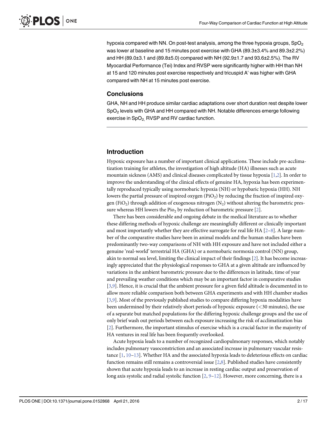<span id="page-2-0"></span>hypoxia compared with NN. On post-test analysis, among the three hypoxia groups,  $SpO<sub>2</sub>$ was lower at baseline and 15 minutes post exercise with GHA (89.3±3.4% and 89.3±2.2%) and HH (89.0±3.1 and (89.8±5.0) compared with NH (92.9±1.7 and 93.6±2.5%). The RV Myocardial Performance (Tei) Index and RVSP were significantly higher with HH than NH at 15 and 120 minutes post exercise respectively and tricuspid A' was higher with GHA compared with NH at 15 minutes post exercise.

#### **Conclusions**

GHA, NH and HH produce similar cardiac adaptations over short duration rest despite lower  $SpO<sub>2</sub>$  levels with GHA and HH compared with NH. Notable differences emerge following exercise in  $SpO<sub>2</sub>$ , RVSP and RV cardiac function.

## Introduction

Hypoxic exposure has a number of important clinical applications. These include pre-acclimatization training for athletes, the investigation of high altitude (HA) illnesses such as acute mountain sickness (AMS) and clinical diseases complicated by tissue hypoxia [\[1,2](#page-16-0)]. In order to improve the understanding of the clinical effects of genuine HA, hypoxia has been experimentally reproduced typically using normobaric hypoxia (NH) or hypobaric hypoxia (HH). NH lowers the partial pressure of inspired oxygen (PiO<sub>2</sub>) by reducing the fraction of inspired oxygen (FiO<sub>2</sub>) through addition of exogenous nitrogen  $(N_2)$  without altering the barometric pressure whereas HH lowers the Pio<sub>2</sub> by reduction of barometric pressure  $[2]$  $[2]$ .

There has been considerable and ongoing debate in the medical literature as to whether these differing methods of hypoxic challenge are meaningfully different or clinically important and most importantly whether they are effective surrogate for real life HA  $[2-8]$  $[2-8]$  $[2-8]$  $[2-8]$ . A large number of the comparative studies have been in animal models and the human studies have been predominantly two-way comparisons of NH with HH exposure and have not included either a genuine 'real-world' terrestrial HA (GHA) or a normobaric normoxia control (NN) group, akin to normal sea level, limiting the clinical impact of their findings [\[2\]](#page-16-0). It has become increasingly appreciated that the physiological responses to GHA at a given altitude are influenced by variations in the ambient barometric pressure due to the differences in latitude, time of year and prevailing weather conditions which may be an important factor in comparative studies [\[3,9](#page-16-0)]. Hence, it is crucial that the ambient pressure for a given field altitude is documented in to allow more reliable comparison both between GHA experiments and with HH chamber studies [\[3,9](#page-16-0)]. Most of the previously published studies to compare differing hypoxia modalities have been undermined by their relatively short periods of hypoxic exposure (<30 minutes), the use of a separate but matched populations for the differing hypoxic challenge groups and the use of only brief wash out periods between each exposure increasing the risk of acclimatization bias [\[2](#page-16-0)]. Furthermore, the important stimulus of exercise which is a crucial factor in the majority of HA ventures in real life has been frequently overlooked.

Acute hypoxia leads to a number of recognized cardiopulmonary responses, which notably includes pulmonary vasoconstriction and an associated increase in pulmonary vascular resistance [[1,](#page-16-0) [10](#page-16-0)–[13](#page-16-0)]. Whether HA and the associated hypoxia leads to deleterious effects on cardiac function remains still remains a controversial issue  $[2,8]$  $[2,8]$ . Published studies have consistently shown that acute hypoxia leads to an increase in resting cardiac output and preservation of long axis systolic and radial systolic function  $[2, 2-12]$  $[2, 2-12]$  $[2, 2-12]$  $[2, 2-12]$  $[2, 2-12]$ . However, more concerning, there is a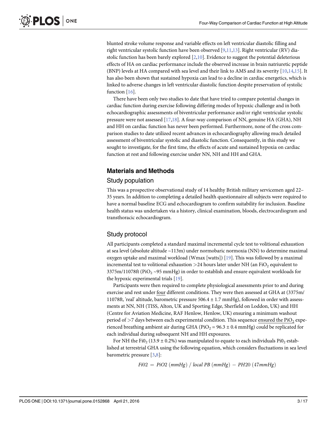<span id="page-3-0"></span>blunted stroke volume response and variable effects on left ventricular diastolic filling and right ventricular systolic function have been observed [\[9,11,13](#page-16-0)]. Right ventricular (RV) diastolic function has been barely explored  $[2,10]$ . Evidence to suggest the potential deleterious effects of HA on cardiac performance include the observed increase in brain natriuretic peptide (BNP) levels at HA compared with sea level and their link to AMS and its severity [\[10,14](#page-16-0),[15](#page-16-0)]. It has also been shown that sustained hypoxia can lead to a decline in cardiac energetics, which is linked to adverse changes in left ventricular diastolic function despite preservation of systolic function [\[16\]](#page-16-0).

There have been only two studies to date that have tried to compare potential changes in cardiac function during exercise following differing modes of hypoxic challenge and in both echocardiographic assessments of biventricular performance and/or right ventricular systolic pressure were not assessed  $[17,18]$  $[17,18]$ . A four-way comparison of NN, genuine HA (GHA), NH and HH on cardiac function has never been performed. Furthermore, none of the cross comparison studies to date utilized recent advances in echocardiography allowing much detailed assessment of biventricular systolic and diastolic function. Consequently, in this study we sought to investigate, for the first time, the effects of acute and sustained hypoxia on cardiac function at rest and following exercise under NN, NH and HH and GHA.

#### Materials and Methods

#### Study population

This was a prospective observational study of 14 healthy British military servicemen aged 22– 35 years. In addition to completing a detailed health questionnaire all subjects were required to have a normal baseline ECG and echocardiogram to confirm suitability for inclusion. Baseline health status was undertaken via a history, clinical examination, bloods, electrocardiogram and transthoracic echocardiogram.

#### Study protocol

All participants completed a standard maximal incremental cycle test to volitional exhaustion at sea level (absolute altitude ~113m) under normobaric normoxia (NN) to determine maximal oxygen uptake and maximal workload (Wmax [watts]) [[19\]](#page-17-0). This was followed by a maximal incremental test to volitional exhaustion  $>$ 24 hours later under NH (an FiO<sub>2</sub> equivalent to 3375m/11078ft (PiO<sub>2</sub> ~95 mmHg) in order to establish and ensure equivalent workloads for the hypoxic experimental trials  $[19]$ .

Participants were then required to complete physiological assessments prior to and during exercise and rest under four different conditions. They were then assessed at GHA at (3375m/ 11078ft, 'real' altitude, barometric pressure 506.4 ± 1.7 mmHg), followed in order with assessments at NN, NH (TISS, Alton, UK and Sporting Edge, Sherfield on Loddon, UK) and HH (Centre for Aviation Medicine, RAF Henlow, Henlow, UK) ensuring a minimum washout period of  $>7$  days between each experimental condition. This sequence ensured the PiO<sub>2</sub> experienced breathing ambient air during GHA (PiO<sub>2</sub> = 96.3  $\pm$  0.4 mmHg) could be replicated for each individual during subsequent NH and HH exposures.

For NH the Fi0<sub>2</sub> (13.9  $\pm$  0.2%) was manipulated to equate to each individuals Pi0<sub>2</sub> established at terrestrial GHA using the following equation, which considers fluctuations in sea level barometric pressure [[3,8\]](#page-16-0):

 $Fi02 = PiO2 (mmHg) / local PB (mmHg) - PH20 (47mmHg)$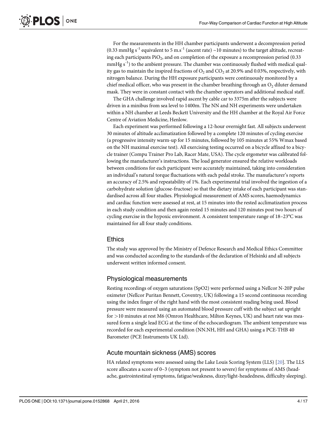<span id="page-4-0"></span>For the measurements in the HH chamber participants underwent a decompression period  $(0.33 \text{ mmHg s}^{-1}$  equivalent to 5 m.s<sup>-1</sup> (ascent rate) ~10 minutes) to the target altitude, recreating each participants  $\text{PiO}_2$ , and on completion of the exposure a recompression period (0.33)  $mmHg s<sup>-1</sup>$ ) to the ambient pressure. The chamber was continuously flushed with medical quality gas to maintain the inspired fractions of  $O_2$  and  $CO_2$  at 20.9% and 0.03%, respectively, with nitrogen balance. During the HH exposure participants were continuously monitored by a chief medical officer, who was present in the chamber breathing through an  $O_2$  diluter demand mask. They were in constant contact with the chamber operators and additional medical staff.

The GHA challenge involved rapid ascent by cable car to 3375m after the subjects were driven in a minibus from sea level to 1400m. The NN and NH experiments were undertaken within a NH chamber at Leeds Beckett University and the HH chamber at the Royal Air Force Centre of Aviation Medicine, Henlow.

Each experiment was performed following a 12-hour overnight fast. All subjects underwent 30 minutes of altitude acclimatization followed by a complete 120 minutes of cycling exercise (a progressive intensity warm-up for 15 minutes, followed by 105 minutes at 55% Wmax based on the NH maximal exercise test). All exercising testing occurred on a bicycle affixed to a bicycle trainer (Compu Trainer Pro Lab, Racer Mate, USA). The cycle ergometer was calibrated following the manufacturer's instructions. The load generator ensured the relative workloads between conditions for each participant were accurately maintained, taking into consideration an individual's natural torque fluctuations with each pedal stroke. The manufacturer's reports an accuracy of 2.5% and repeatability of 1%. Each experimental trial involved the ingestion of a carbohydrate solution (glucose-fructose) so that the dietary intake of each participant was standardised across all four studies. Physiological measurement of AMS scores, haemodynamics and cardiac function were assessed at rest, at 15 minutes into the rested acclimatization process in each study condition and then again rested 15 minutes and 120 minutes post two hours of cycling exercise in the hypoxic environment. A consistent temperature range of 18–23°C was maintained for all four study conditions.

#### **Ethics**

The study was approved by the Ministry of Defence Research and Medical Ethics Committee and was conducted according to the standards of the declaration of Helsinki and all subjects underwent written informed consent.

#### Physiological measurements

Resting recordings of oxygen saturations (SpO2) were performed using a Nellcor N-20P pulse oximeter (Nellcor Puritan Bennett, Coventry, UK) following a 15 second continuous recording using the index finger of the right hand with the most consistent reading being used. Blood pressure were measured using an automated blood pressure cuff with the subject sat upright for >10 minutes at rest M6 (Omron Healthcare, Milton Keynes, UK) and heart rate was measured form a single lead ECG at the time of the echocardiogram. The ambient temperature was recorded for each experimental condition (NN.NH, HH and GHA) using a PCE-THB 40 Barometer (PCE Instruments UK Ltd).

#### Acute mountain sickness (AMS) scores

HA related symptoms were assessed using the Lake Louis Scoring System (LLS) [\[20\]](#page-17-0). The LLS score allocates a score of 0–3 (symptom not present to severe) for symptoms of AMS (headache, gastrointestinal symptoms, fatigue/weakness, dizzy/light-headedness, difficulty sleeping).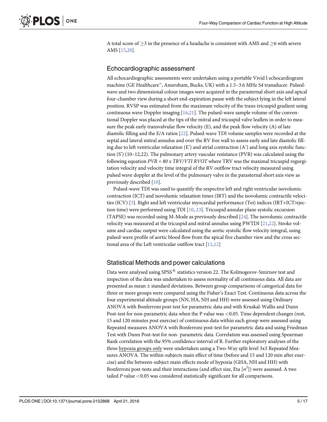<span id="page-5-0"></span>A total score of  $>$ 3 in the presence of a headache is consistent with AMS and  $>$ 6 with severe AMS [\[15,](#page-16-0)[20](#page-17-0)].

#### Echocardiographic assessment

All echocardiographic assessments were undertaken using a portable Vivid I echocardiogram machine (GE Healthcare™, Amersham, Bucks, UK) with a 1.5-3.6 MHz S4 transducer. Pulsedwave and two dimensional colour images were acquired in the parasternal short axis and apical four-chamber view during a short end-expiration pause with the subject lying in the left lateral position. RVSP was estimated from the maximum velocity of the trans-tricuspid gradient using continuous wave Doppler imaging  $[16,21]$  $[16,21]$ . The pulsed-wave sample volume of the conventional Doppler was placed at the tips of the mitral and tricuspid valve leaflets in order to measure the peak early transvalvular flow velocity  $(E)$ , and the peak flow velocity  $(A)$  of late diastolic filling and the E/A ratios [[22](#page-17-0)]. Pulsed-wave TDI volume samples were recorded at the septal and lateral mitral annulus and over the RV free wall to assess early and late diastolic filling due to left ventricular relaxation  $(E')$  and atrial contraction  $(A')$  and long axis systolic function  $(S')$  (10–12,22). The pulmonary artery vascular resistance (PVR) was calculated using the following equation  $PVR = 80 \times TRV/VTI RVOT$  where TRV was the maximal tricuspid regurgitation velocity and velocity time integral of the RV outflow tract velocity measured using pulsed wave doppler at the level of the pulmonary valve in the parasternal short axis view as previously described [[10](#page-16-0)].

Pulsed-wave TDI was used to quantify the respective left and right ventricular isovolumic contraction (ICT) and isovolumic relaxation times (IRT) and the isovolumic contractile velocities (ICV) [\[3\]](#page-16-0). Right and left ventricular myocardial performance (Tei) indices (IRT+ICT/ejection time) were performed using TDI  $[10, 23]$  $[10, 23]$  $[10, 23]$ . Tricuspid annular plane systolic excursion (TAPSE) was recorded using M-Mode as previously described [\[24\]](#page-17-0). The isovolumic contractile velocity was measured at the tricuspid and mitral annulus using PWTDI [[21,22](#page-17-0)]. Stroke volume and cardiac output were calculated using the aortic systolic flow velocity integral, using pulsed-wave profile of aortic blood flow from the apical five chamber view and the cross sectional area of the Left ventricular outflow tract  $[11,12]$  $[11,12]$ 

#### Statistical Methods and power calculations

Data were analysed using SPSS<sup>®</sup> statistics version 22. The Kolmogorov-Smirnov test and inspection of the data was undertaken to assess normality of all continuous data. All data are presented as mean ± standard deviations. Between group comparisons of categorical data for three or more groups were compared using the Fisher's Exact Test. Continuous data across the four experimental altitude groups (NN, HA, NH and HH) were assessed using Ordinary ANOVA with Bonferroni post-test for parametric data and with Kruskal-Wallis and Dunn Post-test for non-parametric data when the P value was <0.05. Time dependent changes (rest, 15 and 120 minutes post exercise) of continuous data within each group were assessed using Repeated measures ANOVA with Bonferroni post-test for parametric data and using Friedman Test with Dunn Post-test for non- parametric data. Correlation was assessed using Spearman Rank correlation with the 95% confidence interval of R. Further exploratory analyses of the three hypoxia groups only were undertaken using a Two-Way split level 3x3 Repeated Measures ANOVA. The within-subjects main effect of time (before and 15 and 120 min after exercise) and the between-subject main effects mode of hypoxia (GHA, NH and HH) with Bonferroni post-tests and their interactions (and effect size, Eta  $[n^2]$ ) were assessed. A two<br>tailed Barelye <0.05 was considered statistically simificant for all comparisons tailed  $P$  value  $<$  0.05 was considered statistically significant for all comparisons.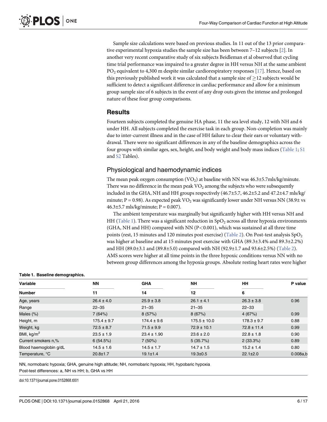<span id="page-6-0"></span>Sample size calculations were based on previous studies. In 11 out of the 13 prior comparative experimental hypoxia studies the sample size has been between 7–12 subjects [[2](#page-16-0)]. In another very recent comparative study of six subjects Beidleman et al observed that cycling time trial performance was impaired to a greater degree in HH versus NH at the same ambient PO<sub>2</sub> equivalent to 4,300 m despite similar cardiorespiratory responses [\[17\]](#page-16-0). Hence, based on this previously published work it was calculated that a sample size of  $\geq$  12 subjects would be sufficient to detect a significant difference in cardiac performance and allow for a minimum group sample size of 6 subjects in the event of any drop outs given the intense and prolonged nature of these four group comparisons.

#### Results

Fourteen subjects completed the genuine HA phase, 11 the sea level study, 12 with NH and 6 under HH. All subjects completed the exercise task in each group. Non-completion was mainly due to inter-current illness and in the case of HH failure to clear their ears or voluntary withdrawal. There were no significant differences in any of the baseline demographics across the four groups with similar ages, sex, height, and body weight and body mass indices (Table 1; [S1](#page-15-0) and [S2](#page-15-0) Tables).

#### Physiological and haemodynamic indices

The mean peak oxygen consumption (VO<sub>2</sub>) at baseline with NN was  $46.3\pm5.7$ mls/kg/minute. There was no difference in the mean peak  $VO<sub>2</sub>$  among the subjects who were subsequently included in the GHA, NH and HH groups respectively (46.7±5.7, 46.2±5.2 and 47.2±4.7 mls/kg/ minute;  $P = 0.98$ ). As expected peak VO<sub>2</sub> was significantly lower under NH versus NN (38.9± vs 46.3 $\pm$ 5.7 mls/kg/minute; P = 0.007).

The ambient temperature was marginally but significantly higher with HH versus NH and HH (Table 1). There was a significant reduction in  $SpO<sub>2</sub>$  across all three hypoxia environments (GHA, NH and HH) compared with NN (P<0.001), which was sustained at all three time points (rest, 15 minutes and 120 minutes post exercise) [\(Table 2\)](#page-7-0). On Post-test analysis  $SpO<sub>2</sub>$ was higher at baseline and at 15 minutes post exercise with GHA (89.3±3.4% and 89.3±2.2%) and HH (89.0±3.1 and (89.8±5.0) compared with NH (92.9±1.7 and 93.6±2.5%) ([Table 2\)](#page-7-0). AMS scores were higher at all time points in the three hypoxic conditions versus NN with no between group differences among the hypoxia groups. Absolute resting heart rates were higher

| Variable               | <b>NN</b>       | <b>GHA</b>      | <b>NH</b>        | HH              | P value    |
|------------------------|-----------------|-----------------|------------------|-----------------|------------|
| <b>Number</b>          | 11              | 14              | 12               | 6               |            |
| Age, years             | $26.4 \pm 4.0$  | $25.9 \pm 3.8$  | $26.1 \pm 4.1$   | $26.3 \pm 3.8$  | 0.96       |
| Range                  | $22 - 35$       | $21 - 35$       | $21 - 35$        | $22 - 33$       |            |
| Males $(\%)$           | 7(64%)          | 8(57%)          | 8(67%)           | 4(67%)          | 0.99       |
| Height, m              | $175.4 \pm 9.7$ | $174.4 \pm 9.6$ | $175.5 \pm 10.0$ | $178.3 \pm 9.7$ | 0.88       |
| Weight, kg             | $72.5 \pm 8.7$  | $71.5 \pm 9.9$  | $72.9 \pm 10.1$  | $72.8 \pm 11.4$ | 0.99       |
| BMI, kg/m <sup>2</sup> | $23.5 \pm 1.9$  | $23.4 \pm 1.90$ | $23.6 \pm 2.0$   | $22.8 \pm 1.8$  | 0.90       |
| Current smokers n.%    | 6(54.5%)        | 7(50%)          | 5(35.7%)         | 2(33.3%)        | 0.89       |
| Blood haemoglobin g/dL | $14.5 \pm 1.6$  | $14.5 \pm 1.7$  | $14.7 \pm 1.5$   | $15.2 \pm 1.4$  | 0.80       |
| Temperature, °C        | $20.8 \pm 1.7$  | $19.1 \pm 1.4$  | $19.3 \pm 0.5$   | $22.1 \pm 2.0$  | $0.008a$ , |

#### Table 1. Baseline demographics.

NN, normobaric hypoxia; GHA, genuine high altitude; NH, normobaric hypoxia; HH, hypobaric hypoxia Post-test differences: a, NH vs HH; b, GHA vs HH

doi:10.1371/journal.pone.0152868.t001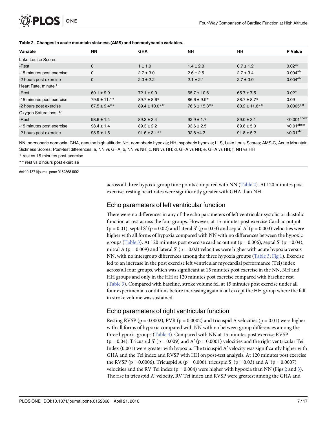| Variable                         | <b>NN</b>         | <b>GHA</b>         | <b>NH</b>          | HH                 | P Value                               |
|----------------------------------|-------------------|--------------------|--------------------|--------------------|---------------------------------------|
| Lake Louise Scores               |                   |                    |                    |                    |                                       |
| -Rest                            | $\mathbf 0$       | $1 \pm 1.0$        | $1.4 \pm 2.3$      | $0.7 \pm 1.2$      | $0.02^{ab}$                           |
| -15 minutes post exercise        | $\mathbf 0$       | $2.7 \pm 3.0$      | $2.6 \pm 2.5$      | $2.7 \pm 3.4$      | $0.004^{ab}$                          |
| -2 hours post exercise           | $\mathbf 0$       | $2.3 \pm 2.2$      | $2.1 \pm 2.1$      | $2.7 \pm 3.0$      | $0.004^{ab}$                          |
| Heart Rate, minute <sup>-1</sup> |                   |                    |                    |                    |                                       |
| -Rest                            | $60.1 \pm 9.9$    | $72.1 \pm 9.0$     | $65.7 \pm 10.6$    | $65.7 \pm 7.5$     | 0.02 <sup>a</sup>                     |
| -15 minutes post exercise        | $79.9 \pm 11.1*$  | $89.7 \pm 8.6*$    | $86.6 \pm 9.9*$    | $88.7 \pm 8.7*$    | 0.09                                  |
| -2 hours post exercise           | $67.5 \pm 9.4$ ** | $89.4 \pm 10.0$ ** | $76.6 \pm 15.3$ ** | $80.2 \pm 11.6$ ** | $0.0005^{a,d}$                        |
| Oxygen Saturations, %            |                   |                    |                    |                    |                                       |
| -Rest                            | $98.6 \pm 1.4$    | $89.3 \pm 3.4$     | $92.9 \pm 1.7$     | $89.0 \pm 3.1$     | $<$ 0.001 $^{\text{abcdf}}$           |
| -15 minutes post exercise        | $98.4 \pm 1.4$    | $89.3 \pm 2.2$     | $93.6 \pm 2.5$     | $89.8 \pm 5.0$     | $<$ 0.01 $\mathrm{a}^{\mathrm{bcdf}}$ |
| -2 hours post exercise           | $98.9 \pm 1.5$    | $91.6 \pm 3.1$ **  | $92.8 \pm 4.3$     | $91.8 \pm 5.2$     | $0.01$ abc                            |

#### <span id="page-7-0"></span>[Table 2.](#page-6-0) Changes in acute mountain sickness (AMS) and haemodynamic variables.

NN, normobaric normoxia; GHA, genuine high altitude; NH, normobaric hypoxia; HH, hypobaric hypoxia; LLS, Lake Louis Scores; AMS-C, Acute Mountain Sickness Scores; Post-test differences: a, NN vs GHA; b, NN vs NH; c, NN vs HH; d, GHA vs NH; e, GHA vs HH; f, NH vs HH

\* rest vs 15 minutes post exercise

\*\* rest vs 2 hours post exercise

doi:10.1371/journal.pone.0152868.t002

across all three hypoxic group time points compared with NN (Table 2). At 120 minutes post exercise, resting heart rates were significantly greater with GHA than NH.

#### Echo parameters of left ventricular function

There were no differences in any of the echo parameters of left ventricular systolic or diastolic function at rest across the four groups. However, at 15 minutes post exercise Cardiac output  $(p = 0.01)$ , septal S'  $(p = 0.02)$  and lateral S'  $(p = 0.03)$  and septal A'  $(p = 0.003)$  velocities were higher with all forms of hypoxia compared with NN with no differences between the hypoxic groups ([Table 3](#page-8-0)). At 120 minutes post exercise cardiac output ( $p = 0.006$ ), septal S' ( $p = 0.04$ ), mitral A ( $p = 0.009$ ) and lateral S' ( $p = 0.02$ ) velocities were higher with acute hypoxia versus NN, with no intergroup differences among the three hypoxia groups ([Table 3;](#page-8-0) [Fig 1\)](#page-9-0). Exercise led to an increase in the post exercise left ventricular myocardial performance (Tei) index across all four groups, which was significant at 15 minutes post exercise in the NN, NH and HH groups and only in the HH at 120 minutes post exercise compared with baseline rest [\(Table 3\)](#page-8-0). Compared with baseline, stroke volume fell at 15 minutes post exercise under all four experimental conditions before increasing again in all except the HH group where the fall in stroke volume was sustained.

#### Echo parameters of right ventricular function

Resting RVSP ( $p = 0.0002$ ), PVR ( $p = 0.0002$ ) and tricuspid A velocities ( $p = 0.01$ ) were higher with all forms of hypoxia compared with NN with no between group differences among the three hypoxia groups ( $Table 4$ ). Compared with NN at 15 minutes post exercise RVSP  $(p = 0.04)$ , Tricuspid S'  $(p = 0.009)$  and A'  $(p = 0.0001)$  velocities and the right ventricular Tei Index (0.001) were greater with hypoxia. The tricuspid A' velocity was significantly higher with GHA and the Tei index and RVSP with HH on post-test analysis. At 120 minutes post exercise the RVSP (p = 0.0006), Tricuspid A (p = 0.006), tricuspid S' (p = 0.03) and A' (p = 0.0007) velocities and the RV Tei index ( $p = 0.004$ ) were higher with hypoxia than NN (Figs [2](#page-11-0) and [3\)](#page-12-0). The rise in tricuspid A' velocity, RV Tei index and RVSP were greatest among the GHA and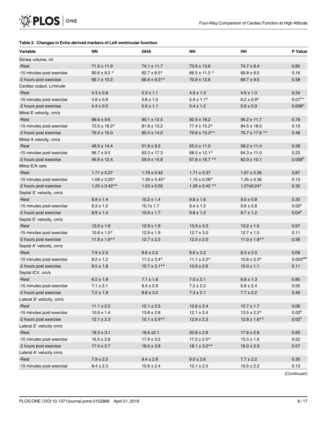#### <span id="page-8-0"></span>[Table 3.](#page-7-0) Changes in Echo derived markers of Left ventricular function.

| Variable                  | ΝN                 | <b>GHA</b>        | NΗ                 | HH                | P Value              |
|---------------------------|--------------------|-------------------|--------------------|-------------------|----------------------|
| Stroke volume, ml         |                    |                   |                    |                   |                      |
| -Rest                     | $71.5 \pm 11.9$    | $74.1 \pm 11.7$   | 73.6 ± 13.6        | $74.7 \pm 8.4$    | 0.85                 |
| -15 minutes post exercise | 60.6 ± 8.2 $*$     | $62.7 \pm 8.5*$   | 66.5 ± 11.5 $*$    | $69.8 \pm 8.5$    | 0.16                 |
| -2 hours post exercise    | $66.1 \pm 10.2$    | $66.6 \pm 9.3$ ** | 70.9 ± 12.6        | $69.7 \pm 9.5$    | 0.58                 |
| Cardiac output, L/minute  |                    |                   |                    |                   |                      |
| -Rest                     | $4.3 \pm 0.8$      | $5.3 \pm 1.1$     | $4.9 \pm 1.3$      | $4.9 \pm 1.0$     | 0.24                 |
| -15 minutes post exercise | $4.8 \pm 0.8$      | $5.6 \pm 1.0$     | $5.9 \pm 1.1*$     | $6.2 \pm 0.9*$    | $0.01^{b,c}$         |
| -2 hours post exercise    | $4.4 \pm 0.5$      | $5.9 \pm 1.1$     | $5.4 \pm 1.2$      | $5.6 \pm 0.9$     | 0.006 <sup>a</sup>   |
| Mitral E velocity, cm/s   |                    |                   |                    |                   |                      |
| -Rest                     | $88.6 \pm 9.6$     | $90.1 \pm 12.5$   | $92.5 \pm 18.2$    | $95.2 \pm 11.7$   | 0.78                 |
| -15 minutes post exercise | $72.0 \pm 16.2*$   | $81.8 \pm 13.2$   | $77.4 \pm 15.2*$   | $84.5 \pm 18.5$   | 0.19                 |
| -2 hours post exercise    | $76.5 \pm 15.0$    | $85.4 \pm 14.0$   | $79.8 \pm 13.3$ ** | 76.7 ± 17.6 **    | 0.48                 |
| Mitral A velocity, cm/s   |                    |                   |                    |                   |                      |
| -Rest                     | $48.5 \pm 14.4$    | $51.8 \pm 9.2$    | $55.2 \pm 11.0$    | $58.2 \pm 11.4$   | 0.39                 |
| -15 minutes post exercise | $56.7 \pm 9.5$     | $63.3 \pm 17.3$   | $68.5 \pm 12.1*$   | $64.3 \pm 11.0$   | 0.23                 |
| -2 hours post exercise    | $46.6 \pm 12.4$    | $59.9 \pm 14.8$   | $67.8 \pm 16.7$ ** | $62.0 \pm 10.1$   | 0.009 <sup>b</sup>   |
| Mitral E/A ratio          |                    |                   |                    |                   |                      |
| -Rest                     | $1.71 \pm 0.27$    | $1.79 \pm 0.42$   | $1.71 \pm 0.37$    | $1.67 \pm 0.26$   | 0.87                 |
| -15 minutes post exercise | $1.08 \pm 0.25*$   | $1.39 \pm 0.45*$  | $1.15 \pm 0.26*$   | $1.35 \pm 0.36$   | 0.13                 |
| -2 hours post exercise    | $1.25 \pm 0.42$ ** | $1.53 \pm 0.55$   | $1.26 \pm 0.42$ ** | 1.27±0.24*        | 0.32                 |
| Septal S' velocity, cm/s  |                    |                   |                    |                   |                      |
| -Rest                     | $8.9 \pm 1.4$      | $10.2 \pm 1.4$    | $9.8 \pm 1.6$      | $9.0 \pm 0.9$     | 0.33                 |
| -15 minutes post exercise | $8.3 \pm 1.2$      | $10.1 \pm 1.7$    | $9.4 \pm 1.2$      | $9.8 \pm 0.8$     | 0.02 <sup>a</sup>    |
| -2 hours post exercise    | $8.9 \pm 1.4$      | $10.9 \pm 1.7$    | $9.8 \pm 1.2$      | $9.7 \pm 1.2$     | $0.04^{\rm a}$       |
| Septal E' velocity, cm/s  |                    |                   |                    |                   |                      |
| -Rest                     | $13.0 \pm 1.6$     | $12.9 \pm 1.9$    | $13.3 \pm 3.3$     | $13.2 \pm 1.5$    | 0.97                 |
| -15 minutes post exercise | $10.8 \pm 1.5*$    | $12.9 \pm 1.9$    | $12.7 \pm 3.0$     | $12.7 \pm 1.5$    | 0.11                 |
| -2 hours post exercise    | $11.6 \pm 1.6$ **  | $12.7 \pm 2.5$    | $12.0 \pm 2.0$     | $11.0 \pm 1.8$ ** | 0.36                 |
| Septal A' velocity, cm/s  |                    |                   |                    |                   |                      |
| -Rest                     | $7.9 \pm 2.3$      | $8.6 \pm 2.2$     | $9.6 \pm 2.2$      | $8.3 \pm 2.0$     | 0.09                 |
| -15 minutes post exercise | $8.2 \pm 1.2$      | $11.2 \pm 3.4*$   | $11.1 \pm 2.2*$    | $10.8 \pm 2.3*$   | 0.003 <sup>abc</sup> |
| -2 hours post exercise    | $8.5 \pm 1.8$      | $10.7 \pm 3.1$ ** | $10.9 \pm 2.6$     | $10.0 \pm 1.1$    | 0.11                 |
| Septal ICV, cm/s          |                    |                   |                    |                   |                      |
| -Rest                     | $6.5 \pm 1.8$      | $7.1 \pm 1.6$     | $7.0 \pm 2.1$      | $6.8 \pm 1.3$     | 0.80                 |
| -15 minutes post exercise | $7.1 \pm 2.1$      | $8.4 \pm 2.9$     | $7.2 \pm 2.2$      | $6.8 \pm 2.4$     | 0.55                 |
| -2 hours post exercise    | $7.2 \pm 1.9$      | $8.8 \pm 3.2$     | $7.3 \pm 2.1$      | $7.7 \pm 2.2$     | 0.46                 |
| Lateral S' velocity, cm/s |                    |                   |                    |                   |                      |
| -Rest                     | $11.1 \pm 2.2$     | $12.1 \pm 2.5$    | $12.6 \pm 2.4$     | $10.7 \pm 1.7$    | 0.06                 |
| -15 minutes post exercise | $10.9 \pm 1.4$     | $13.8 \pm 2.8$    | $12.1 \pm 2.4$     | $13.5 \pm 2.2*$   | 0.03 <sup>a</sup>    |
| -2 hours post exercise    | $12.1 \pm 2.3$     | $15.1 \pm 2.9$ ** | $12.9 \pm 2.3$     | $12.8 \pm 1.6$ ** | $0.02^{\rm a}$       |
| Lateral E' velocity cm/s  |                    |                   |                    |                   |                      |
| -Rest                     | $18.3 \pm 3.1$     | $18.6 \pm 2.1$    | $20.8 \pm 2.8$     | $17.8 \pm 2.8$    | 0.90                 |
| -15 minutes post exercise | $16.5 \pm 2.8$     | $17.9 \pm 3.2$    | $17.2 \pm 2.5*$    | $15.5 \pm 1.6$    | 0.52                 |
| -2 hours post exercise    | $17.4 \pm 2.7$     | $18.0 \pm 3.8$    | $18.1 \pm 3.2**$   | $16.0 \pm 2.3$    | 0.57                 |
| Lateral A' velocity cm/s  |                    |                   |                    |                   |                      |
| -Rest                     | $7.9 \pm 2.5$      | $9.4 \pm 2.8$     | $9.0 \pm 2.6$      | $7.7 \pm 2.2$     | 0.30                 |
| -15 minutes post exercise | $8.4 \pm 2.3$      | $10.6 \pm 2.4$    | $10.1 \pm 2.5$     | $10.5 \pm 2.2$    | 0.13                 |

(Continued)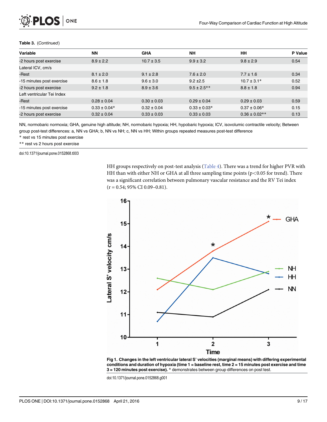<span id="page-9-0"></span>

|  | <b>Table 3.</b> (Continued) |
|--|-----------------------------|
|--|-----------------------------|

| Variable                   | <b>NN</b>        | <b>GHA</b>      | <b>NH</b>        | HH                 | P Value |
|----------------------------|------------------|-----------------|------------------|--------------------|---------|
| -2 hours post exercise     | $8.9 \pm 2.2$    | $10.7 \pm 3.5$  | $9.9 \pm 3.2$    | $9.8 \pm 2.9$      | 0.54    |
| Lateral ICV, cm/s          |                  |                 |                  |                    |         |
| -Rest                      | $8.1 \pm 2.0$    | $9.1 \pm 2.8$   | $7.6 \pm 2.0$    | $7.7 \pm 1.6$      | 0.34    |
| -15 minutes post exercise  | $8.6 \pm 1.8$    | $9.6 \pm 3.0$   | $9.2 + 2.5$      | $10.7 \pm 3.1*$    | 0.52    |
| -2 hours post exercise     | $9.2 \pm 1.8$    | $8.9 \pm 3.6$   | $9.5 \pm 2.5$ ** | $8.8 \pm 1.8$      | 0.94    |
| Left ventricular Tei Index |                  |                 |                  |                    |         |
| -Rest                      | $0.28 \pm 0.04$  | $0.30 \pm 0.03$ | $0.29 \pm 0.04$  | $0.29 \pm 0.03$    | 0.59    |
| -15 minutes post exercise  | $0.33 \pm 0.04*$ | $0.32 \pm 0.04$ | $0.33 \pm 0.03*$ | $0.37 \pm 0.06*$   | 0.15    |
| -2 hours post exercise     | $0.32 \pm 0.04$  | $0.33 \pm 0.03$ | $0.33 \pm 0.03$  | $0.36 \pm 0.02$ ** | 0.13    |

NN, normobaric normoxia; GHA, genuine high altitude; NH, normobaric hypoxia; HH, hypobaric hypoxia; ICV, isovolumic contractile velocity; Between group post-test differences: a, NN vs GHA; b, NN vs NH; c, NN vs HH; Within groups repeated measures post-test difference

\* rest vs 15 minutes post exercise

\*\* rest vs 2 hours post exercise

doi:10.1371/journal.pone.0152868.t003

HH groups respectively on post-test analysis ([Table 4\)](#page-10-0). There was a trend for higher PVR with HH than with either NH or GHA at all three sampling time points ( $p$ <0.05 for trend). There was a significant correlation between pulmonary vascular resistance and the RV Tei index  $(r = 0.54; 95\% \text{ CI } 0.09 - 0.81).$ 



[Fig 1. C](#page-7-0)hanges in the left ventricular lateral S' velocities (marginal means) with differing experimental conditions and duration of hypoxia (time 1 = baseline rest, time 2 = 15 minutes post exercise and time 3 = 120 minutes post exercise). \* demonstrates between group differences on post test.

doi:10.1371/journal.pone.0152868.g001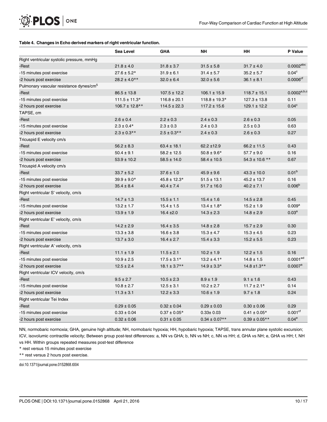#### <span id="page-10-0"></span>[Table 4.](#page-7-0) Changes in Echo derived markers of right ventricular function.

|                                                     | <b>Sea Level</b>    | <b>GHA</b>        | <b>NH</b>          | <b>HH</b>          | P Value              |
|-----------------------------------------------------|---------------------|-------------------|--------------------|--------------------|----------------------|
| Right ventricular systolic pressure, mmHg           |                     |                   |                    |                    |                      |
| -Rest                                               | $21.8 \pm 4.0$      | $31.8 \pm 3.7$    | $31.5 \pm 5.8$     | $31.7 \pm 4.0$     | $0.0002^{abc}$       |
| -15 minutes post exercise                           | $27.6 \pm 5.2*$     | $31.9 \pm 6.1$    | $31.4 \pm 5.7$     | $35.2 \pm 5.7$     | 0.04 <sup>c</sup>    |
| -2 hours post exercise                              | $28.2 \pm 4.0$ **   | $32.0 \pm 6.4$    | $32.0 \pm 5.6$     | $36.1 \pm 8.1$     | 0.0006 <sup>cf</sup> |
| Pulmonary vascular resistance dynes/cm <sup>5</sup> |                     |                   |                    |                    |                      |
| -Rest                                               | $86.5 \pm 13.8$     | $107.5 \pm 12.2$  | $106.1 \pm 15.9$   | $118.7 \pm 15.1$   | $0.0002^{a,b,c}$     |
| -15 minutes post exercise                           | $111.5 \pm 11.3*$   | $116.8 \pm 20.1$  | $118.8 \pm 19.3*$  | $127.3 \pm 13.8$   | 0.11                 |
| -2 hours post exercise                              | $106.7 \pm 12.8$ ** | $114.5 \pm 22.3$  | $117.2 \pm 15.6$   | $129.1 \pm 12.2$   | 0.04 <sup>c</sup>    |
| TAPSE, cm                                           |                     |                   |                    |                    |                      |
| -Rest                                               | $2.6 \pm 0.4$       | $2.2 \pm 0.3$     | $2.4 \pm 0.3$      | $2.6 \pm 0.3$      | 0.05                 |
| -15 minutes post exercise                           | $2.3 \pm 0.4*$      | $2.3 \pm 0.3$     | $2.4 \pm 0.3$      | $2.5 \pm 0.3$      | 0.63                 |
| -2 hours post exercise                              | $2.3 \pm 0.3$ **    | $2.5 \pm 0.3$ **  | $2.4 \pm 0.3$      | $2.6 \pm 0.3$      | 0.27                 |
| Tricuspid E velocity cm/s                           |                     |                   |                    |                    |                      |
| -Rest                                               | $56.2 \pm 8.3$      | $63.4 \pm 18.1$   | $62.2 \pm 12.9$    | $66.2 \pm 11.5$    | 0.43                 |
| -15 minutes post exercise                           | $50.4 \pm 9.1$      | $58.2 \pm 12.5$   | $50.8 \pm 9.6*$    | $57.7 \pm 9.0$     | 0.16                 |
| -2 hours post exercise                              | $53.9 \pm 10.2$     | $58.5 \pm 14.0$   | $58.4 \pm 10.5$    | $54.3 \pm 10.6$ ** | 0.67                 |
| Tricuspid A velocity cm/s                           |                     |                   |                    |                    |                      |
| -Rest                                               | $33.7 \pm 5.2$      | $37.6 \pm 1.0$    | $45.9 \pm 9.6$     | $43.3 \pm 10.0$    | 0.01 <sup>b</sup>    |
| -15 minutes post exercise                           | $39.9 \pm 9.0*$     | $45.8 \pm 12.3*$  | $51.5 \pm 13.1$    | $45.2 \pm 13.7$    | 0.16                 |
| -2 hours post exercise                              | $35.4 \pm 8.4$      | $40.4 \pm 7.4$    | $51.7 \pm 16.0$    | $40.2 \pm 7.1$     | 0.006 <sup>b</sup>   |
| Right ventricular S' velocity, cm/s                 |                     |                   |                    |                    |                      |
| -Rest                                               | $14.7 \pm 1.3$      | $15.5 \pm 1.1$    | $15.4 \pm 1.6$     | $14.5 \pm 2.8$     | 0.45                 |
| -15 minutes post exercise                           | $13.2 \pm 1.7$      | $15.4 \pm 1.5$    | $13.4 \pm 1.8*$    | $15.2 \pm 1.9$     | 0.009 <sup>a</sup>   |
| -2 hours post exercise                              | $13.9 \pm 1.9$      | $16.4 \pm 2.0$    | $14.3 \pm 2.3$     | $14.8 \pm 2.9$     | 0.03 <sup>a</sup>    |
| Right ventricular E' velocity, cm/s                 |                     |                   |                    |                    |                      |
| -Rest                                               | $14.2 \pm 2.9$      | $16.4 \pm 3.5$    | $14.8 \pm 2.8$     | $15.7 \pm 2.9$     | 0.30                 |
| -15 minutes post exercise                           | $13.3 \pm 3.8$      | $16.6 \pm 3.8$    | $15.3 \pm 4.7$     | $15.3 \pm 4.5$     | 0.23                 |
| -2 hours post exercise                              | $13.7 \pm 3.0$      | $16.4 \pm 2.7$    | $15.4 \pm 3.3$     | $15.2 \pm 5.5$     | 0.23                 |
| Right ventricular A' velocity, cm/s                 |                     |                   |                    |                    |                      |
| -Rest                                               | $11.1 \pm 1.9$      | $11.5 \pm 2.1$    | $10.2 \pm 1.9$     | $12.2 \pm 1.5$     | 0.16                 |
| -15 minutes post exercise                           | $10.9 \pm 2.5$      | $17.5 \pm 3.1*$   | $13.2 \pm 4.1*$    | $14.8 \pm 1.5$     | $0.0001^{ad}$        |
| -2 hours post exercise                              | $12.5 \pm 2.4$      | $18.1 \pm 3.7$ ** | $14.9 \pm 3.3*$    | $14.8 \pm 1.3$ **  | $0.0007^{\text{a}}$  |
| Right ventricular ICV velocity, cm/s                |                     |                   |                    |                    |                      |
| -Rest                                               | $9.5 \pm 2.7$       | $10.5 \pm 2.3$    | $8.9 \pm 1.9$      | $9.1 \pm 1.6$      | 0.43                 |
| -15 minutes post exercise                           | $10.8 \pm 2.7$      | $12.5 \pm 3.1$    | $10.2 \pm 2.7$     | $11.7 \pm 2.1*$    | 0.14                 |
| -2 hours post exercise                              | $11.3 \pm 3.1$      | $12.2 \pm 3.3$    | $10.6 \pm 1.9$     | $9.7 \pm 1.8$      | 0.24                 |
| Right ventricular Tei Index                         |                     |                   |                    |                    |                      |
| -Rest                                               | $0.29 \pm 0.05$     | $0.32 \pm 0.04$   | $0.29 \pm 0.03$    | $0.30 \pm 0.06$    | 0.29                 |
| -15 minutes post exercise                           | $0.33 \pm 0.04$     | $0.37 \pm 0.05*$  | $0.33 \pm 0.03$    | $0.41 \pm 0.05*$   | 0.001 <sup>cf</sup>  |
| -2 hours post exercise                              | $0.32 \pm 0.06$     | $0.31 \pm 0.05$   | $0.34 \pm 0.07$ ** | $0.39 \pm 0.05$ ** | 0.04 <sup>e</sup>    |

NN, normobaric normoxia; GHA, genuine high altitude; NH, normobaric hypoxia; HH, hypobaric hypoxia; TAPSE, trans annular plane systolic excursion; ICV, isovolumic contractile velocity; Between group post-test differences: a, NN vs GHA; b, NN vs NH; c, NN vs HH; d, GHA vs NH; e, GHA vs HH; f, NH vs HH. Within groups repeated measures post-test difference

\* rest versus 15 minutes post exercise

\*\* rest versus 2 hours post exercise.

doi:10.1371/journal.pone.0152868.t004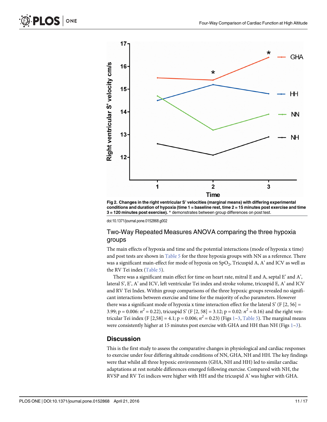<span id="page-11-0"></span>

[Fig 2. C](#page-7-0)hanges in the right ventricular S' velocities (marginal means) with differing experimental conditions and duration of hypoxia (time 1 = baseline rest, time 2 = 15 minutes post exercise and time 3 = 120 minutes post exercise). \* demonstrates between group differences on post test.

doi:10.1371/journal.pone.0152868.g002

#### Two-Way Repeated Measures ANOVA comparing the three hypoxia groups

The main effects of hypoxia and time and the potential interactions (mode of hypoxia x time) and post tests are shown in  $Table 5$  for the three hypoxia groups with NN as a reference. There was a significant main-effect for mode of hypoxia on  $SpO<sub>2</sub>$ , Tricuspid A, A' and ICV as well as the RV Tei index ([Table 5](#page-13-0)).

There was a significant main effect for time on heart rate, mitral E and A, septal E' and A', lateral S', E', A' and ICV, left ventricular Tei index and stroke volume, tricuspid E, A' and ICV and RV Tei Index. Within group comparisons of the three hypoxic groups revealed no significant interactions between exercise and time for the majority of echo parameters. However there was a significant mode of hypoxia x time interaction effect for the lateral S' (F  $[2, 56]$  = 3.99; p = 0.006:  $n^2$  = 0.22), tricuspid S' (F [2, 58] = 3.12; p = 0.02:  $n^2$  = 0.16) and the right ven-tricular Tei index (F [2,58] = 4.[1](#page-9-0); p = 0.006;  $n^2 = 0.23$  $n^2 = 0.23$ ) (Figs 1-3, [Table 5\)](#page-13-0). The marginal means were consistently higher at [1](#page-9-0)5 minutes post exercise with GHA and HH than NH (Figs  $1-3$ ).

#### **Discussion**

This is the first study to assess the comparative changes in physiological and cardiac responses to exercise under four differing altitude conditions of NN, GHA, NH and HH. The key findings were that whilst all three hypoxic environments (GHA, NH and HH) led to similar cardiac adaptations at rest notable differences emerged following exercise. Compared with NH, the RVSP and RV Tei indices were higher with HH and the tricuspid A' was higher with GHA.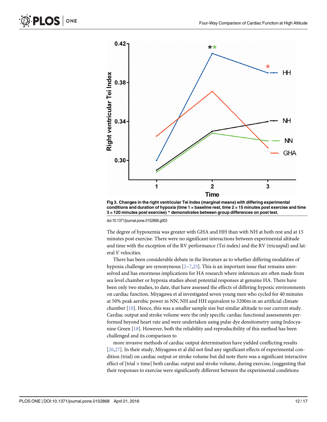<span id="page-12-0"></span>

[Fig 3. C](#page-7-0)hanges in the right ventricular Tei Index (marginal means) with differing experimental conditions and duration of hypoxia (time 1 = baseline rest, time 2 = 15 minutes post exercise and time 3 = 120 minutes post exercise) \* demonstrates between group differences on post test.

doi:10.1371/journal.pone.0152868.g003

The degree of hypoxemia was greater with GHA and HH than with NH at both rest and at 15 minutes post exercise. There were no significant interactions between experimental altitude and time with the exception of the RV performance (Tei index) and the RV (tricuspid) and lateral S' velocities.

There has been considerable debate in the literature as to whether differing modalities of hypoxia challenge are synonymous  $[2-7,25]$  $[2-7,25]$  $[2-7,25]$  $[2-7,25]$ . This is an important issue that remains unresolved and has enormous implications for HA research where inferences are often made from sea level chamber or hypoxia studies about potential responses at genuine HA. There have been only two studies, to date, that have assessed the effects of differing hypoxic environments on cardiac function. Miyagawa et al investigated seven young men who cycled for 40 minutes at 50% peak aerobic power in NN, NH and HH equivalent to 3200m in an artificial climate chamber  $[18]$  $[18]$ . Hence, this was a smaller sample size but similar altitude to our current study. Cardiac output and stroke volume were the only specific cardiac functional assessments performed beyond heart rate and were undertaken using pulse dye densitometry using Indocyanine Green [[18\]](#page-17-0). However, both the reliability and reproducibility of this method has been challenged and its comparison to

more invasive methods of cardiac output determination have yielded conflicting results [\[26,27\]](#page-17-0). In their study, Miyagawa et al did not find any significant effects of experimental condition (trial) on cardiac output or stroke volume but did note there was a significant interactive effect of [trial  $\times$  time] both cardiac output and stroke volume, during exercise, (suggesting that their responses to exercise were significantly different between the experimental conditions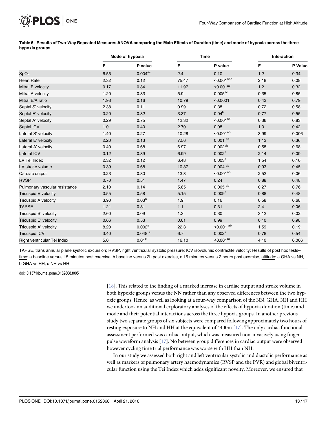<span id="page-13-0"></span>

[Table 5.](#page-11-0) Results of Two-Way Repeated Measures ANOVA comparing the Main Effects of Duration (time) and mode of hypoxia across the three hypoxia groups.

|                               | Mode of hypoxia |                      | <b>Time</b> |                         | Interaction |         |
|-------------------------------|-----------------|----------------------|-------------|-------------------------|-------------|---------|
|                               | F               | P value              | F           | P value                 | F           | P Value |
| SpO <sub>2</sub>              | 6.55            | $0.004^{ac}$         | 2.4         | 0.10                    | 1.2         | 0.34    |
| <b>Heart Rate</b>             | 2.32            | 0.12                 | 75.47       | $<$ 0.001 $^{\rm abc}$  | 2.18        | 0.08    |
| Mitral E velocity             | 0.17            | 0.84                 | 11.97       | $< 0.001$ <sup>ac</sup> | 1.2         | 0.32    |
| Mitral A velocity             | 1.20            | 0.33                 | 5.9         | $0.005$ <sup>ac</sup>   | 0.35        | 0.85    |
| Mitral E/A ratio              | 1.93            | 0.16                 | 10.79       | < 0.0001                | 0.43        | 0.79    |
| Septal S' velocity            | 2.38            | 0.11                 | 0.99        | 0.38                    | 0.72        | 0.58    |
| Septal E' velocity            | 0.20            | 0.82                 | 3.37        | $0.04^{b}$              | 0.77        | 0.55    |
| Septal A' velocity            | 0.29            | 0.75                 | 12.32       | $< 0.001^{ab}$          | 0.36        | 0.83    |
| Septal ICV                    | 1.0             | 0.40                 | 2.70        | 0.08                    | 1.0         | 0.42    |
| Lateral S' velocity           | 1.40            | 0.27                 | 10.28       | $< 0.001^{ab}$          | 3.99        | 0.006   |
| Lateral E' velocity           | 2.20            | 0.13                 | 7.56        | $0.001$ <sup>ab</sup>   | 1.12        | 0.36    |
| Lateral A' velocity           | 0.40            | 0.68                 | 6.97        | $0.002^{ab}$            | 0.58        | 0.68    |
| <b>Lateral ICV</b>            | 0.12            | 0.89                 | 6.99        | $0.002^{\rm a}$         | 2.14        | 0.09    |
| LV Tei Index                  | 2.32            | 0.12                 | 6.48        | $0.003^{\rm a}$         | 1.54        | 0.10    |
| LV stroke volume              | 0.39            | 0.68                 | 10.37       | $0.004$ <sup>ab</sup>   | 0.93        | 0.45    |
| Cardiac output                | 0.23            | 0.80                 | 13.8        | $< 0.001^{ab}$          | 2.52        | 0.06    |
| <b>RVSP</b>                   | 0.70            | 0.51                 | 1.47        | 0.24                    | 0.88        | 0.48    |
| Pulmonary vascular resistance | 2.10            | 0.14                 | 5.85        | $0.005$ <sup>ab</sup>   | 0.27        | 0.76    |
| Tricuspid E velocity          | 0.55            | 0.58                 | 5.15        | 0.009 <sup>a</sup>      | 0.88        | 0.48    |
| <b>Tricuspid A velocity</b>   | 3.90            | 0.03 <sup>a</sup>    | 1.9         | 0.16                    | 0.58        | 0.68    |
| <b>TAPSE</b>                  | 1.21            | 0.31                 | 1.1         | 0.31                    | 2.4         | 0.06    |
| Tricuspid S' velocity         | 2.60            | 0.09                 | 1.3         | 0.30                    | 3.12        | 0.02    |
| Tricuspid E' velocity         | 0.66            | 0.53                 | 0.01        | 0.99                    | 0.10        | 0.98    |
| Tricuspid A' velocity         | 8.20            | 0.002 <sup>a</sup>   | 22.3        | $< 0.001$ <sup>ab</sup> | 1.59        | 0.19    |
| <b>Tricuspid ICV</b>          | 3.40            | $0.048$ <sup>a</sup> | 6.7         | $0.002^a$               | 0.78        | 0.54    |
| Right ventricular Tei Index   | 5.0             | 0.01 <sup>c</sup>    | 16.10       | $< 0.001^{ab}$          | 4.10        | 0.006   |

TAPSE, trans annular plane systolic excursion; RVSP, right ventricular systolic pressure; ICV isovolumic contractile velocity; Results of post hoc tests– time: a baseline versus 15 minutes post exercise, b baseline versus 2h post exercise, c 15 minutes versus 2 hours post exercise, altitude: a GHA vs NH, b GHA vs HH, c NH vs HH

doi:10.1371/journal.pone.0152868.t005

[\[18](#page-17-0)]. This related to the finding of a marked increase in cardiac output and stroke volume in both hypoxic groups versus the NN rather than any observed differences between the two hypoxic groups. Hence, as well as looking at a four-way comparison of the NN, GHA, NH and HH we undertook an additional exploratory analyses of the effects of hypoxia duration (time) and mode and their potential interactions across the three hypoxia groups. In another previous study two separate groups of six subjects were compared following approximately two hours of resting exposure to NH and HH at the equivalent of 4400m [\[17\]](#page-16-0). The only cardiac functional assessment performed was cardiac output, which was measured non-invasively using finger pulse waveform analysis [[17](#page-16-0)]. No between group differences in cardiac output were observed however cycling time trial performance was worse with HH than NH.

In our study we assessed both right and left ventricular systolic and diastolic performance as well as markers of pulmonary artery haemodynamics (RVSP and the PVR) and global biventricular function using the Tei Index which adds significant novelty. Moreover, we ensured that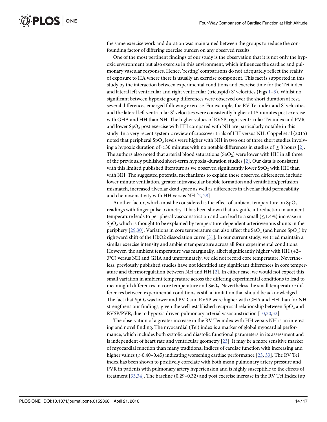<span id="page-14-0"></span>the same exercise work and duration was maintained between the groups to reduce the confounding factor of differing exercise burden on any observed results.

One of the most pertinent findings of our study is the observation that it is not only the hypoxic environment but also exercise in this environment, which influences the cardiac and pulmonary vascular responses. Hence, 'resting' comparisons do not adequately reflect the reality of exposure to HA where there is usually an exercise component. This fact is supported in this study by the interaction between experimental conditions and exercise time for the Tei index and lateral left ventricular and right ventricular (tricuspid) S' velocities (Figs [1](#page-9-0)–[3](#page-12-0)). Whilst no significant between hypoxic group differences were observed over the short duration at rest, several differences emerged following exercise. For example, the RV Tei index and S' velocities and the lateral left ventricular S' velocities were consistently higher at 15 minutes post exercise with GHA and HH than NH. The higher values of RVSP, right ventricular Tei index and PVR and lower  $SpO<sub>2</sub>$  post exercise with HH compared with NH are particularly notable in this study. In a very recent systemic review of crossover trials of HH versus NH, Coppel et al (2015) noted that peripheral  $SpO<sub>2</sub>$  levels were higher with NH in two out of three short studies involving a hypoxic duration of  $\langle 30 \text{ minutes with no notable differences in studies of } \rangle 8 \text{ hours } [2].$  $\langle 30 \text{ minutes with no notable differences in studies of } \rangle 8 \text{ hours } [2].$  $\langle 30 \text{ minutes with no notable differences in studies of } \rangle 8 \text{ hours } [2].$ The authors also noted that arterial blood saturations (SaO<sub>2</sub>) were lower with HH in all three of the previously published short-term hypoxia-duration studies [[2\]](#page-16-0). Our data is consistent with this limited published literature as we observed significantly lower  $SpO<sub>2</sub>$  with HH than with NH. The suggested potential mechanisms to explain these observed differences, include lower minute ventilation, greater intravascular bubble formation and ventilation/perfusion mismatch, increased alveolar dead space as well as differences in alveolar fluid permeability and chemosensitivity with HH versus NH [\[2](#page-16-0), [28](#page-17-0)].

Another factor, which must be considered is the effect of ambient temperature on  $SpO<sub>2</sub>$ readings with finger pulse oximetry. It has been shown that a significant reduction in ambient temperature leads to peripheral vasoconstriction and can lead to a small  $\left($  < 1.4%) increase in  $SpO<sub>2</sub>$  which is thought to be explained by temperature-dependent arteriovenous shunts in the periphery [\[29,30\]](#page-17-0). Variations in core temperature can also affect the SaO<sub>2</sub> (and hence SpO<sub>2</sub>) by rightward shift of the HbO2 dissociation curve  $[31]$  $[31]$ . In our current study, we tried maintain a similar exercise intensity and ambient temperature across all four experimental conditions. However, the ambient temperature was marginally, albeit significantly higher with HH  $(+2-)$ 3°C) versus NH and GHA and unfortunately, we did not record core temperature. Nevertheless, previously published studies have not identified any significant differences in core temperature and thermoregulation between NH and HH [\[2\]](#page-16-0). In either case, we would not expect this small variation in ambient temperature across the differing experimental conditions to lead to meaningful differences in core temperature and  $SaO<sub>2</sub>$ . Nevertheless the small temperature differences between experimental conditions is still a limitation that should be acknowledged. The fact that  $SpO<sub>2</sub>$  was lower and PVR and RVSP were higher with GHA and HH than for NH strengthens our findings, given the well-established reciprocal relationship between  $SpO<sub>2</sub>$  and RVSP/PVR, due to hypoxia driven pulmonary arterial vasoconstriction [[10](#page-16-0)[,20,32\]](#page-17-0).

The observation of a greater increase in the RV Tei index with HH versus NH is an interesting and novel finding. The myocardial (Tei) index is a marker of global myocardial performance, which includes both systolic and diastolic functional parameters in its assessment and is independent of heart rate and ventricular geometry [[23](#page-17-0)]. It may be a more sensitive marker of myocardial function than many traditional indices of cardiac function with increasing and higher values ( $>0.40-0.45$ ) indicating worsening cardiac performance [[23](#page-17-0), [33](#page-17-0)]. The RV Tei index has been shown to positively correlate with both mean pulmonary artery pressure and PVR in patients with pulmonary artery hypertension and is highly susceptible to the effects of treatment [[33,34](#page-17-0)]. The baseline (0.29–0.32) and post exercise increase in the RV Tei Index (up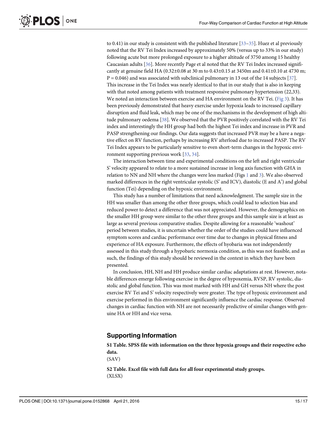<span id="page-15-0"></span>to 0.41) in our study is consistent with the published literature [\[33](#page-17-0)–[35](#page-17-0)]. Huez et al previously noted that the RV Tei Index increased by approximately 50% (versus up to 33% in our study) following acute but more prolonged exposure to a higher altitude of 3750 among 15 healthy Caucasian adults [[36](#page-17-0)]. More recently Page et al noted that the RV Tei Index increased significantly at genuine field HA ( $0.32\pm0.08$  at 30 m to  $0.43\pm0.15$  at 3450m and  $0.41\pm0.10$  at 4730 m;  $P = 0.046$ ) and was associated with subclinical pulmonary in 13 out of the 14 subjects [\[37\]](#page-17-0). This increase in the Tei Index was nearly identical to that in our study that is also in keeping with that noted among patients with treatment responsive pulmonary hypertension (22,33). We noted an interaction between exercise and HA environment on the RV Tei. [\(Fig 3\)](#page-12-0). It has been previously demonstrated that heavy exercise under hypoxia leads to increased capillary disruption and fluid leak, which may be one of the mechanisms in the development of high altitude pulmonary oedema [[38](#page-17-0)]. We observed that the PVR positively correlated with the RV Tei index and interestingly the HH group had both the highest Tei index and increase in PVR and PASP strengthening our findings. Our data suggests that increased PVR may be a have a negative effect on RV function, perhaps by increasing RV afterload due to increased PASP. The RV Tei Index appears to be particularly sensitive to even short-term changes in the hypoxic environment supporting previous work [\[33,](#page-17-0) [34\]](#page-17-0).

The interaction between time and experimental conditions on the left and right ventricular S' velocity appeared to relate to a more sustained increase in long axis function with GHA in relation to NN and NH where the changes were less marked (Figs  $1$  and  $3$ ). We also observed marked differences in the right ventricular systolic (S' and ICV), diastolic (E and A') and global function (Tei) depending on the hypoxic environment.

This study has a number of limitations that need acknowledgment. The sample size in the HH was smaller than among the other three groups, which could lead to selection bias and reduced power to detect a difference that was not appreciated. However, the demographics on the smaller HH group were similar to the other three groups and this sample size is at least as large as several previous comparative studies. Despite allowing for a reasonable 'washout' period between studies, it is uncertain whether the order of the studies could have influenced symptom scores and cardiac performance over time due to changes in physical fitness and experience of HA exposure. Furthermore, the effects of hyobaria was not independently assessed in this study through a hypobaric normoxia condition, as this was not feasible, and as such, the findings of this study should be reviewed in the context in which they have been presented.

In conclusion, HH, NH and HH produce similar cardiac adaptations at rest. However, notable differences emerge following exercise in the degree of hypoxemia, RVSP, RV systolic, diastolic and global function. This was most marked with HH and GH versus NH where the post exercise RV Tei and S' velocity respectively were greater. The type of hypoxic environment and exercise performed in this environment significantly influence the cardiac response. Observed changes in cardiac function with NH are not necessarily predictive of similar changes with genuine HA or HH and vice versa.

### Supporting Information

[S1 Table](http://www.plosone.org/article/fetchSingleRepresentation.action?uri=info:doi/10.1371/journal.pone.0152868.s001). SPSS file with information on the three hypoxia groups and their respective echo data.

(SAV)

[S2 Table](http://www.plosone.org/article/fetchSingleRepresentation.action?uri=info:doi/10.1371/journal.pone.0152868.s002). Excel file with full data for all four experimental study groups. (XLSX)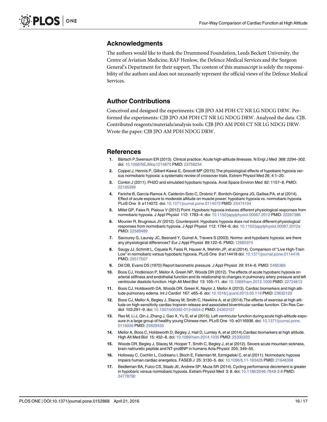#### <span id="page-16-0"></span>Acknowledgments

The authors would like to thank the Drummond Foundation, Leeds Beckett University, the Centre of Aviation Medicine, RAF Henlow, the Defence Medical Services and the Surgeon General's Department for their support. The content of this manuscript is solely the responsibility of the authors and does not necessarily represent the official views of the Defence Medical Services.

#### Author Contributions

Conceived and designed the experiments: CJB JPO AM PDH CT NR LG NDCG DRW. Performed the experiments: CJB JPO AM PDH CT NR LG NDCG DRW. Analyzed the data: CJB. Contributed reagents/materials/analysis tools: CJB JPO AM PDH CT NR LG NDCG DRW. Wrote the paper: CJB JPO AM PDH NDCG DRW.

#### References

- [1.](#page-2-0) Bärtsch P,Swenson ER (2013). Clinical practice: Acute high-altitude illnesses. N Engl J Med 368: 2294–302. doi: [10.1056/NEJMcp1214870](http://dx.doi.org/10.1056/NEJMcp1214870) PMID: [23758234](http://www.ncbi.nlm.nih.gov/pubmed/23758234)
- [2.](#page-2-0) Coppel J, Hennis P, Gilbert-Kawai E, Grocott MP (2015).The physiological effects of hypobaric hypoxia versus normobaric hypoxia: a systematic review of crossover trials. Extrem Physiol Med 26; 4:1–20.
- [3.](#page-2-0) Conkin J (2011). PH2O and simulated hypobaric hypoxia. Aviat Space Environ Med 82: 1157–8. PMID: [22195399](http://www.ncbi.nlm.nih.gov/pubmed/22195399)
- 4. Feriche B, García-Ramos A, Calderón-Soto C, Drobnic F, Bonitch-Góngora JG, Galilea PA, et al (2014). Effect of acute exposure to moderate altitude on muscle power: hypobaric hypoxia vs. normobaric hypoxia. PLoS One 9: e114072. doi: [10.1371/journal.pone.0114072](http://dx.doi.org/10.1371/journal.pone.0114072) PMID: [25474104](http://www.ncbi.nlm.nih.gov/pubmed/25474104)
- 5. Millet GP, Faiss R, Pialoux V (2012) Point: Hypobaric hypoxia induces different physiological responses from normobaric hypoxia. J Appl Physiol 112: 1783–4. doi: [10.1152/japplphysiol.00067.2012](http://dx.doi.org/10.1152/japplphysiol.00067.2012) PMID: [22267386](http://www.ncbi.nlm.nih.gov/pubmed/22267386)
- 6. Mounier R, Brugniaux JV (2012). Counterpoint: Hypobaric hypoxia does not induce different physiological responses from normobaric hypoxia. J Appl Physiol 112: 1784–6. doi: [10.1152/japplphysiol.00067.2012a](http://dx.doi.org/10.1152/japplphysiol.00067.2012a) PMID: [22589489](http://www.ncbi.nlm.nih.gov/pubmed/22589489)
- [7.](#page-12-0) Savourey G, Launay JC, Besnard Y, Guinet A, Travers S (2003). Normo- and hypobaric hypoxia: are there any physiological differences? Eur J Appl Physiol 89:122-6. PMID: [12665974](http://www.ncbi.nlm.nih.gov/pubmed/12665974)
- [8.](#page-2-0) Saugy JJ, Schmitt L, Cejuela R, Faiss R, Hauser A, Wehrlin JP, et al (2014). Comparison of "Live High-Train Low" in normobaric versus hypobaric hypoxia. PLoS One 9:e114418 doi: [10.1371/journal.pone.0114418](http://dx.doi.org/10.1371/journal.pone.0114418) PMID: [25517507](http://www.ncbi.nlm.nih.gov/pubmed/25517507)
- [9.](#page-2-0) Dill DB, Evans DS (1970) Report barometric pressure. J Appl Physiol 29: 914–6. PMID: [5485369](http://www.ncbi.nlm.nih.gov/pubmed/5485369)
- [10.](#page-2-0) Boos CJ, Hodkinson P, Mellor A, Green NP, Woods DR (2012). The effects of acute hypobaric hypoxia on arterial stiffness and endothelial function and its relationship to changes in pulmonary artery pressure and left ventricular diastolic function. High Alt Med Biol 13: 105–11. doi: [10.1089/ham.2012.1009](http://dx.doi.org/10.1089/ham.2012.1009) PMID: [22724613](http://www.ncbi.nlm.nih.gov/pubmed/22724613)
- [11.](#page-3-0) Boos CJ, Holdsworth DA, Woods DR, Green K, Naylor J, Mellor A (2013). Cardiac biomarkers and high altitude pulmonary edema. Int J Cardiol 167: e65–6. doi: [10.1016/j.ijcard.2013.03.119](http://dx.doi.org/10.1016/j.ijcard.2013.03.119) PMID: [23632120](http://www.ncbi.nlm.nih.gov/pubmed/23632120)
- [12.](#page-2-0) Boos CJ, Mellor A, Begley J, Stacey M, Smith C, Hawkins A, et al (2014).The effects of exercise at high altitude on high-sensitivity cardiac troponin release and associated biventricular cardiac function. Clin Res Cardiol 103:291–9. doi: [10.1007/s00392-013-0654-2](http://dx.doi.org/10.1007/s00392-013-0654-2) PMID: [24363107](http://www.ncbi.nlm.nih.gov/pubmed/24363107)
- [13.](#page-2-0) Rao M, Li J, Qin J, Zhang J, Gao X, Yu S, et al (2015). Left ventricular function during acute high-altitude expo-sure in a large group of healthy young Chinese men. PLoS One 10: e0116936. doi: [10.1371/journal.pone.](http://dx.doi.org/10.1371/journal.pone.0116936) [0116936](http://dx.doi.org/10.1371/journal.pone.0116936) PMID: [25629435](http://www.ncbi.nlm.nih.gov/pubmed/25629435)
- [14.](#page-3-0) Mellor A, Boos C, Holdsworth D, Begley J, Hall D, Lumley A, et al (2014).Cardiac biomarkers at high altitude. High Alt Med Biol 15: 452–8. doi: [10.1089/ham.2014.1035](http://dx.doi.org/10.1089/ham.2014.1035) PMID: [25330333](http://www.ncbi.nlm.nih.gov/pubmed/25330333)
- [15.](#page-3-0) Woods DR, Begley J, Stacey M, Hooper T, Smith C, Begley J, et al (2012). Severe acute mountain sickness, brain natriuretic peptide and NT-proBNP in humans Acta Physiol 205: 349–55.
- [16.](#page-3-0) Holloway C, Cochlin L, Codreanu I, Bloch E, Fatemian M, Szmigielski C, et al (2011). Normobaric hypoxia impairs human cardiac energetics. FASEB J 25: 3130–5. doi: [10.1096/fj.11-183426](http://dx.doi.org/10.1096/fj.11-183426) PMID: [21646398](http://www.ncbi.nlm.nih.gov/pubmed/21646398)
- [17.](#page-3-0) Beidleman BA, Fulco CS, Staab JE, Andrew SP, Muza SR (2014). Cycling performance decrement is greater in hypobaric versus normobaric hypoxia. Extrem Physiol Med 3: 8. doi: [10.1186/2046-7648-3-8](http://dx.doi.org/10.1186/2046-7648-3-8) PMID: [24778792](http://www.ncbi.nlm.nih.gov/pubmed/24778792)